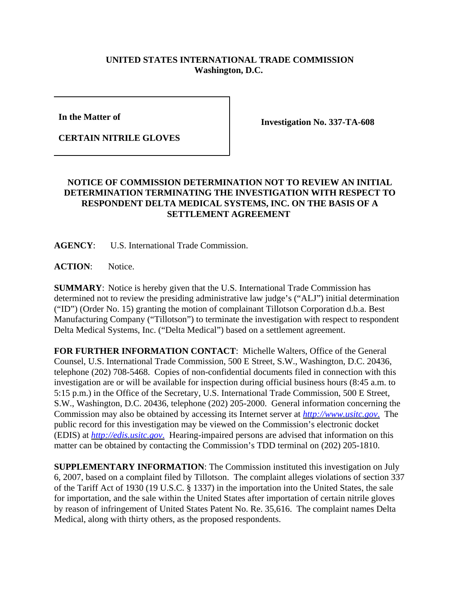## **UNITED STATES INTERNATIONAL TRADE COMMISSION Washington, D.C.**

**In the Matter of** 

**CERTAIN NITRILE GLOVES**

**Investigation No. 337-TA-608**

## **NOTICE OF COMMISSION DETERMINATION NOT TO REVIEW AN INITIAL DETERMINATION TERMINATING THE INVESTIGATION WITH RESPECT TO RESPONDENT DELTA MEDICAL SYSTEMS, INC. ON THE BASIS OF A SETTLEMENT AGREEMENT**

**AGENCY**: U.S. International Trade Commission.

ACTION: Notice.

**SUMMARY**: Notice is hereby given that the U.S. International Trade Commission has determined not to review the presiding administrative law judge's ("ALJ") initial determination ("ID") (Order No. 15) granting the motion of complainant Tillotson Corporation d.b.a. Best Manufacturing Company ("Tillotson") to terminate the investigation with respect to respondent Delta Medical Systems, Inc. ("Delta Medical") based on a settlement agreement.

**FOR FURTHER INFORMATION CONTACT**: Michelle Walters, Office of the General Counsel, U.S. International Trade Commission, 500 E Street, S.W., Washington, D.C. 20436, telephone (202) 708-5468. Copies of non-confidential documents filed in connection with this investigation are or will be available for inspection during official business hours (8:45 a.m. to 5:15 p.m.) in the Office of the Secretary, U.S. International Trade Commission, 500 E Street, S.W., Washington, D.C. 20436, telephone (202) 205-2000. General information concerning the Commission may also be obtained by accessing its Internet server at *http://www.usitc.gov*. The public record for this investigation may be viewed on the Commission's electronic docket (EDIS) at *http://edis.usitc.gov*. Hearing-impaired persons are advised that information on this matter can be obtained by contacting the Commission's TDD terminal on (202) 205-1810.

**SUPPLEMENTARY INFORMATION**: The Commission instituted this investigation on July 6, 2007, based on a complaint filed by Tillotson. The complaint alleges violations of section 337 of the Tariff Act of 1930 (19 U.S.C. § 1337) in the importation into the United States, the sale for importation, and the sale within the United States after importation of certain nitrile gloves by reason of infringement of United States Patent No. Re. 35,616. The complaint names Delta Medical, along with thirty others, as the proposed respondents.